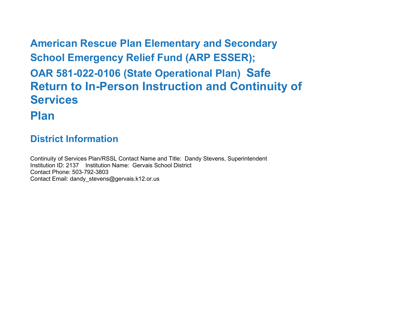**American Rescue Plan Elementary and Secondary School Emergency Relief Fund (ARP ESSER); OAR 581-022-0106 (State Operational Plan) Safe Return to In-Person Instruction and Continuity of Services Plan**

# **District Information**

Continuity of Services Plan/RSSL Contact Name and Title: Dandy Stevens, Superintendent Institution ID: 2137 Institution Name: Gervais School District Contact Phone: 503-792-3803 Contact Email: dandy\_stevens@gervais.k12.or.us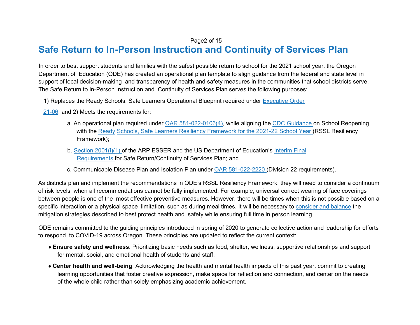#### Page2 of 15

# **Safe Return to In-Person Instruction and Continuity of Services Plan**

In order to best support students and families with the safest possible return to school for the 2021 school year, the Oregon Department of Education (ODE) has created an operational plan template to align guidance from the federal and state level in support of local decision-making and transparency of health and safety measures in the communities that school districts serve. The Safe Return to In-Person Instruction and Continuity of Services Plan serves the following purposes:

1) Replaces the Ready Schools, Safe Learners Operational Blueprint required under Executive Order

21-06; and 2) Meets the requirements for:

- a. An operational plan required under OAR 581-022-0106(4), while aligning the CDC Guidance on School Reopening with the Ready Schools, Safe Learners Resiliency Framework for the 2021-22 School Year (RSSL Resiliency Framework);
- b. Section 2001(i)(1) of the ARP ESSER and the US Department of Education's Interim Final Requirements for Safe Return/Continuity of Services Plan; and
- c. Communicable Disease Plan and Isolation Plan under OAR 581-022-2220 (Division 22 requirements).

As districts plan and implement the recommendations in ODE's RSSL Resiliency Framework, they will need to consider a continuum of risk levels when all recommendations cannot be fully implemented. For example, universal correct wearing of face coverings between people is one of the most effective preventive measures. However, there will be times when this is not possible based on a specific interaction or a physical space limitation, such as during meal times. It will be necessary to consider and balance the mitigation strategies described to best protect health and safety while ensuring full time in person learning.

ODE remains committed to the guiding principles introduced in spring of 2020 to generate collective action and leadership for efforts to respond to COVID-19 across Oregon. These principles are updated to reflect the current context:

- **Ensure safety and wellness**. Prioritizing basic needs such as food, shelter, wellness, supportive relationships and support for mental, social, and emotional health of students and staff.
- **Center health and well-being**. Acknowledging the health and mental health impacts of this past year, commit to creating learning opportunities that foster creative expression, make space for reflection and connection, and center on the needs of the whole child rather than solely emphasizing academic achievement.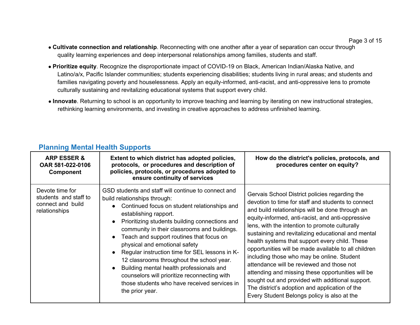- **Cultivate connection and relationship**. Reconnecting with one another after a year of separation can occur through quality learning experiences and deep interpersonal relationships among families, students and staff.
- **Prioritize equity**. Recognize the disproportionate impact of COVID-19 on Black, American Indian/Alaska Native, and Latino/a/x, Pacific Islander communities; students experiencing disabilities; students living in rural areas; and students and families navigating poverty and houselessness. Apply an equity-informed, anti-racist, and anti-oppressive lens to promote culturally sustaining and revitalizing educational systems that support every child.
- **Innovate**. Returning to school is an opportunity to improve teaching and learning by iterating on new instructional strategies, rethinking learning environments, and investing in creative approaches to address unfinished learning.

| <b>ARP ESSER &amp;</b><br>OAR 581-022-0106<br><b>Component</b>                 | Extent to which district has adopted policies,<br>protocols, or procedures and description of<br>policies, protocols, or procedures adopted to<br>ensure continuity of services                                                                                                                                                                                                                                                                                                                                                                                                                                        | How do the district's policies, protocols, and<br>procedures center on equity?                                                                                                                                                                                                                                                                                                                                                                                                                                                                                                                                                                                                                                                      |
|--------------------------------------------------------------------------------|------------------------------------------------------------------------------------------------------------------------------------------------------------------------------------------------------------------------------------------------------------------------------------------------------------------------------------------------------------------------------------------------------------------------------------------------------------------------------------------------------------------------------------------------------------------------------------------------------------------------|-------------------------------------------------------------------------------------------------------------------------------------------------------------------------------------------------------------------------------------------------------------------------------------------------------------------------------------------------------------------------------------------------------------------------------------------------------------------------------------------------------------------------------------------------------------------------------------------------------------------------------------------------------------------------------------------------------------------------------------|
| Devote time for<br>students and staff to<br>connect and build<br>relationships | GSD students and staff will continue to connect and<br>build relationships through:<br>Continued focus on student relationships and<br>establishing rapport.<br>Prioritizing students building connections and<br>community in their classrooms and buildings.<br>Teach and support routines that focus on<br>$\bullet$<br>physical and emotional safety<br>Regular instruction time for SEL lessons in K-<br>12 classrooms throughout the school year.<br>Building mental health professionals and<br>counselors will prioritize reconnecting with<br>those students who have received services in<br>the prior year. | Gervais School District policies regarding the<br>devotion to time for staff and students to connect<br>and build relationships will be done through an<br>equity-informed, anti-racist, and anti-oppressive<br>lens, with the intention to promote culturally<br>sustaining and revitalizing educational and mental<br>health systems that support every child. These<br>opportunities will be made available to all children<br>including those who may be online. Student<br>attendance will be reviewed and those not<br>attending and missing these opportunities will be<br>sought out and provided with additional support.<br>The district's adoption and application of the<br>Every Student Belongs policy is also at the |

#### **Planning Mental Health Supports**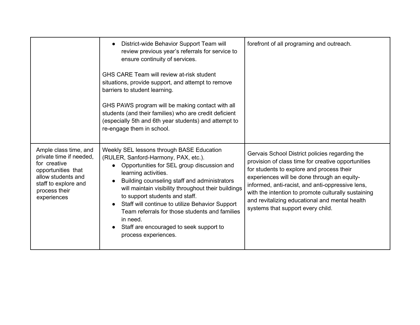|                                                                                                                                                                      | District-wide Behavior Support Team will<br>$\bullet$<br>review previous year's referrals for service to<br>ensure continuity of services.                                                                                                                                                                                                                                                                                                                                                        | forefront of all programing and outreach.                                                                                                                                                                                                                                                                                                                                                          |
|----------------------------------------------------------------------------------------------------------------------------------------------------------------------|---------------------------------------------------------------------------------------------------------------------------------------------------------------------------------------------------------------------------------------------------------------------------------------------------------------------------------------------------------------------------------------------------------------------------------------------------------------------------------------------------|----------------------------------------------------------------------------------------------------------------------------------------------------------------------------------------------------------------------------------------------------------------------------------------------------------------------------------------------------------------------------------------------------|
|                                                                                                                                                                      | GHS CARE Team will review at-risk student<br>situations, provide support, and attempt to remove<br>barriers to student learning.                                                                                                                                                                                                                                                                                                                                                                  |                                                                                                                                                                                                                                                                                                                                                                                                    |
|                                                                                                                                                                      | GHS PAWS program will be making contact with all<br>students (and their families) who are credit deficient<br>(especially 5th and 6th year students) and attempt to<br>re-engage them in school.                                                                                                                                                                                                                                                                                                  |                                                                                                                                                                                                                                                                                                                                                                                                    |
| Ample class time, and<br>private time if needed,<br>for creative<br>opportunities that<br>allow students and<br>staff to explore and<br>process their<br>experiences | Weekly SEL lessons through BASE Education<br>(RULER, Sanford-Harmony, PAX, etc.).<br>Opportunities for SEL group discussion and<br>learning activities.<br>Building counseling staff and administrators<br>will maintain visibility throughout their buildings<br>to support students and staff.<br>Staff will continue to utilize Behavior Support<br>$\bullet$<br>Team referrals for those students and families<br>in need.<br>Staff are encouraged to seek support to<br>process experiences. | Gervais School District policies regarding the<br>provision of class time for creative opportunities<br>for students to explore and process their<br>experiences will be done through an equity-<br>informed, anti-racist, and anti-oppressive lens,<br>with the intention to promote culturally sustaining<br>and revitalizing educational and mental health<br>systems that support every child. |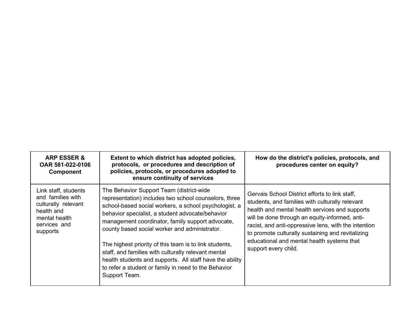| <b>ARP ESSER &amp;</b><br>OAR 581-022-0106<br><b>Component</b>                                                              | Extent to which district has adopted policies,<br>protocols, or procedures and description of<br>policies, protocols, or procedures adopted to<br>ensure continuity of services                                                                                                                                                                                                                                                                                                                                                                                           | How do the district's policies, protocols, and<br>procedures center on equity?                                                                                                                                                                                                                                                                                                           |
|-----------------------------------------------------------------------------------------------------------------------------|---------------------------------------------------------------------------------------------------------------------------------------------------------------------------------------------------------------------------------------------------------------------------------------------------------------------------------------------------------------------------------------------------------------------------------------------------------------------------------------------------------------------------------------------------------------------------|------------------------------------------------------------------------------------------------------------------------------------------------------------------------------------------------------------------------------------------------------------------------------------------------------------------------------------------------------------------------------------------|
| Link staff, students<br>and families with<br>culturally relevant<br>health and<br>mental health<br>services and<br>supports | The Behavior Support Team (district-wide<br>representation) includes two school counselors, three<br>school-based social workers, a school psychologist, a<br>behavior specialist, a student advocate/behavior<br>management coordinator, family support advocate,<br>county based social worker and administrator.<br>The highest priority of this team is to link students,<br>staff, and families with culturally relevant mental<br>health students and supports. All staff have the ability<br>to refer a student or family in need to the Behavior<br>Support Team. | Gervais School District efforts to link staff,<br>students, and families with culturally relevant<br>health and mental health services and supports<br>will be done through an equity-informed, anti-<br>racist, and anti-oppressive lens, with the intention<br>to promote culturally sustaining and revitalizing<br>educational and mental health systems that<br>support every child. |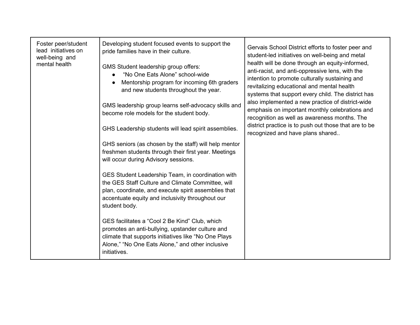| Foster peer/student<br>lead initiatives on<br>well-being and<br>mental health | Developing student focused events to support the<br>pride families have in their culture.<br>GMS Student leadership group offers:<br>"No One Eats Alone" school-wide<br>Mentorship program for incoming 6th graders<br>and new students throughout the year.<br>GMS leadership group learns self-advocacy skills and | Gervais School District efforts to foster peer and<br>student-led initiatives on well-being and metal<br>health will be done through an equity-informed,<br>anti-racist, and anti-oppressive lens, with the<br>intention to promote culturally sustaining and<br>revitalizing educational and mental health<br>systems that support every child. The district has<br>also implemented a new practice of district-wide |
|-------------------------------------------------------------------------------|----------------------------------------------------------------------------------------------------------------------------------------------------------------------------------------------------------------------------------------------------------------------------------------------------------------------|-----------------------------------------------------------------------------------------------------------------------------------------------------------------------------------------------------------------------------------------------------------------------------------------------------------------------------------------------------------------------------------------------------------------------|
|                                                                               | become role models for the student body.                                                                                                                                                                                                                                                                             | emphasis on important monthly celebrations and<br>recognition as well as awareness months. The<br>district practice is to push out those that are to be                                                                                                                                                                                                                                                               |
|                                                                               | GHS Leadership students will lead spirit assemblies.                                                                                                                                                                                                                                                                 | recognized and have plans shared                                                                                                                                                                                                                                                                                                                                                                                      |
|                                                                               | GHS seniors (as chosen by the staff) will help mentor<br>freshmen students through their first year. Meetings<br>will occur during Advisory sessions.                                                                                                                                                                |                                                                                                                                                                                                                                                                                                                                                                                                                       |
|                                                                               | GES Student Leadership Team, in coordination with<br>the GES Staff Culture and Climate Committee, will<br>plan, coordinate, and execute spirit assemblies that<br>accentuate equity and inclusivity throughout our<br>student body.                                                                                  |                                                                                                                                                                                                                                                                                                                                                                                                                       |
|                                                                               | GES facilitates a "Cool 2 Be Kind" Club, which<br>promotes an anti-bullying, upstander culture and<br>climate that supports initiatives like "No One Plays<br>Alone," "No One Eats Alone," and other inclusive<br>initiatives.                                                                                       |                                                                                                                                                                                                                                                                                                                                                                                                                       |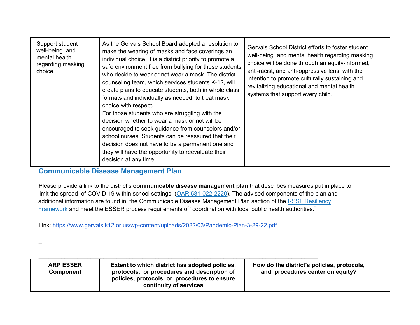| Support student<br>well-being and<br>mental health<br>regarding masking<br>choice. | As the Gervais School Board adopted a resolution to<br>make the wearing of masks and face coverings an<br>individual choice, it is a district priority to promote a<br>safe environment free from bullying for those students<br>who decide to wear or not wear a mask. The district<br>counseling team, which services students K-12, will<br>create plans to educate students, both in whole class<br>formats and individually as needed, to treat mask<br>choice with respect.<br>For those students who are struggling with the<br>decision whether to wear a mask or not will be<br>encouraged to seek guidance from counselors and/or<br>school nurses. Students can be reassured that their<br>decision does not have to be a permanent one and<br>they will have the opportunity to reevaluate their<br>decision at any time. | Gervais School District efforts to foster student<br>well-being and mental health regarding masking<br>choice will be done through an equity-informed,<br>anti-racist, and anti-oppressive lens, with the<br>intention to promote culturally sustaining and<br>revitalizing educational and mental health<br>systems that support every child. |
|------------------------------------------------------------------------------------|---------------------------------------------------------------------------------------------------------------------------------------------------------------------------------------------------------------------------------------------------------------------------------------------------------------------------------------------------------------------------------------------------------------------------------------------------------------------------------------------------------------------------------------------------------------------------------------------------------------------------------------------------------------------------------------------------------------------------------------------------------------------------------------------------------------------------------------|------------------------------------------------------------------------------------------------------------------------------------------------------------------------------------------------------------------------------------------------------------------------------------------------------------------------------------------------|
|------------------------------------------------------------------------------------|---------------------------------------------------------------------------------------------------------------------------------------------------------------------------------------------------------------------------------------------------------------------------------------------------------------------------------------------------------------------------------------------------------------------------------------------------------------------------------------------------------------------------------------------------------------------------------------------------------------------------------------------------------------------------------------------------------------------------------------------------------------------------------------------------------------------------------------|------------------------------------------------------------------------------------------------------------------------------------------------------------------------------------------------------------------------------------------------------------------------------------------------------------------------------------------------|

#### **Communicable Disease Management Plan**

\_

Please provide a link to the district's **communicable disease management plan** that describes measures put in place to limit the spread of COVID-19 within school settings. (OAR 581-022-2220). The advised components of the plan and additional information are found in the Communicable Disease Management Plan section of the RSSL Resiliency Framework and meet the ESSER process requirements of "coordination with local public health authorities."

Link:<https://www.gervais.k12.or.us/wp-content/uploads/2022/03/Pandemic-Plan-3-29-22.pdf>

 $\_$  , and the set of the set of the set of the set of the set of the set of the set of the set of the set of the set of the set of the set of the set of the set of the set of the set of the set of the set of the set of th

| <b>ARP ESSER</b><br>Component | Extent to which district has adopted policies,<br>protocols, or procedures and description of<br>policies, protocols, or procedures to ensure<br>continuity of services | How do the district's policies, protocols,<br>and procedures center on equity? |
|-------------------------------|-------------------------------------------------------------------------------------------------------------------------------------------------------------------------|--------------------------------------------------------------------------------|
|-------------------------------|-------------------------------------------------------------------------------------------------------------------------------------------------------------------------|--------------------------------------------------------------------------------|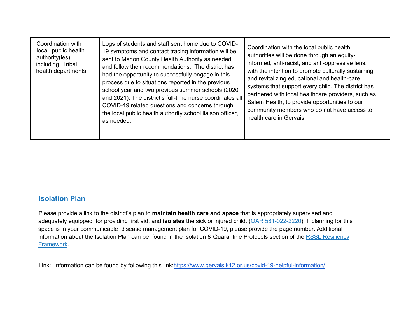| Coordination with<br>local public health<br>authority(ies)<br>including Tribal<br>health departments | Logs of students and staff sent home due to COVID-<br>19 symptoms and contact tracing information will be<br>sent to Marion County Health Authority as needed<br>and follow their recommendations. The district has<br>had the opportunity to successfully engage in this<br>process due to situations reported in the previous<br>school year and two previous summer schools (2020)<br>and 2021). The district's full-time nurse coordinates all<br>COVID-19 related questions and concerns through<br>the local public health authority school liaison officer,<br>as needed. | Coordination with the local public health<br>authorities will be done through an equity-<br>informed, anti-racist, and anti-oppressive lens,<br>with the intention to promote culturally sustaining<br>and revitalizing educational and health-care<br>systems that support every child. The district has<br>partnered with local healthcare providers, such as<br>Salem Health, to provide opportunities to our<br>community members who do not have access to<br>health care in Gervais. |
|------------------------------------------------------------------------------------------------------|----------------------------------------------------------------------------------------------------------------------------------------------------------------------------------------------------------------------------------------------------------------------------------------------------------------------------------------------------------------------------------------------------------------------------------------------------------------------------------------------------------------------------------------------------------------------------------|--------------------------------------------------------------------------------------------------------------------------------------------------------------------------------------------------------------------------------------------------------------------------------------------------------------------------------------------------------------------------------------------------------------------------------------------------------------------------------------------|
|------------------------------------------------------------------------------------------------------|----------------------------------------------------------------------------------------------------------------------------------------------------------------------------------------------------------------------------------------------------------------------------------------------------------------------------------------------------------------------------------------------------------------------------------------------------------------------------------------------------------------------------------------------------------------------------------|--------------------------------------------------------------------------------------------------------------------------------------------------------------------------------------------------------------------------------------------------------------------------------------------------------------------------------------------------------------------------------------------------------------------------------------------------------------------------------------------|

#### **Isolation Plan**

Please provide a link to the district's plan to **maintain health care and space** that is appropriately supervised and adequately equipped for providing first aid, and **isolates** the sick or injured child. (OAR 581-022-2220). If planning for this space is in your communicable disease management plan for COVID-19, please provide the page number. Additional information about the Isolation Plan can be found in the Isolation & Quarantine Protocols section of the RSSL Resiliency Framework.

Link: Information can be found by following this link[:https://www.gervais.k12.or.us/covid-19-helpful-information/](https://www.gervais.k12.or.us/covid-19-helpful-information/)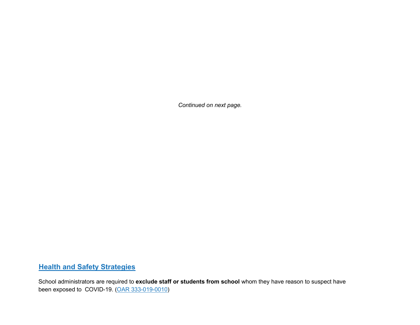*Continued on next page.*

### **Health and Safety Strategies**

School administrators are required to **exclude staff or students from school** whom they have reason to suspect have been exposed to COVID-19. (OAR 333-019-0010)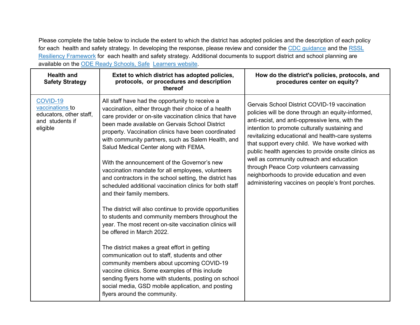Please complete the table below to include the extent to which the district has adopted policies and the description of each policy for each health and safety strategy. In developing the response, please review and consider the CDC guidance and the RSSL Resiliency Framework for each health and safety strategy. Additional documents to support district and school planning are available on the ODE Ready Schools, Safe Learners website.

| <b>Health and</b><br><b>Safety Strategy</b>                                           | Extet to which district has adopted policies,<br>protocols, or procedures and description<br>thereof                                                                                                                                                                                                                                                                                                                                                                                                                                                                                                                                                                                                                                                                                                                                                                                                                                                                                                                                                                                                                                                                                  | How do the district's policies, protocols, and<br>procedures center on equity?                                                                                                                                                                                                                                                                                                                                                                                                                                                                                 |
|---------------------------------------------------------------------------------------|---------------------------------------------------------------------------------------------------------------------------------------------------------------------------------------------------------------------------------------------------------------------------------------------------------------------------------------------------------------------------------------------------------------------------------------------------------------------------------------------------------------------------------------------------------------------------------------------------------------------------------------------------------------------------------------------------------------------------------------------------------------------------------------------------------------------------------------------------------------------------------------------------------------------------------------------------------------------------------------------------------------------------------------------------------------------------------------------------------------------------------------------------------------------------------------|----------------------------------------------------------------------------------------------------------------------------------------------------------------------------------------------------------------------------------------------------------------------------------------------------------------------------------------------------------------------------------------------------------------------------------------------------------------------------------------------------------------------------------------------------------------|
| COVID-19<br>vaccinations to<br>educators, other staff,<br>and students if<br>eligible | All staff have had the opportunity to receive a<br>vaccination, either through their choice of a health<br>care provider or on-site vaccination clinics that have<br>been made available on Gervais School District<br>property. Vaccination clinics have been coordinated<br>with community partners, such as Salem Health, and<br>Salud Medical Center along with FEMA.<br>With the announcement of the Governor's new<br>vaccination mandate for all employees, volunteers<br>and contractors in the school setting, the district has<br>scheduled additional vaccination clinics for both staff<br>and their family members.<br>The district will also continue to provide opportunities<br>to students and community members throughout the<br>year. The most recent on-site vaccination clinics will<br>be offered in March 2022.<br>The district makes a great effort in getting<br>communication out to staff, students and other<br>community members about upcoming COVID-19<br>vaccine clinics. Some examples of this include<br>sending flyers home with students, posting on school<br>social media, GSD mobile application, and posting<br>flyers around the community. | Gervais School District COVID-19 vaccination<br>policies will be done through an equity-informed,<br>anti-racist, and anti-oppressive lens, with the<br>intention to promote culturally sustaining and<br>revitalizing educational and health-care systems<br>that support every child. We have worked with<br>public health agencies to provide onsite clinics as<br>well as community outreach and education<br>through Peace Corp volunteers canvassing<br>neighborhoods to provide education and even<br>administering vaccines on people's front porches. |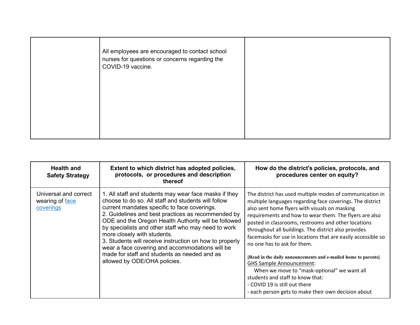| All employees are encouraged to contact school<br>nurses for questions or concerns regarding the<br>COVID-19 vaccine. |  |
|-----------------------------------------------------------------------------------------------------------------------|--|
|                                                                                                                       |  |

| <b>Health and</b><br><b>Safety Strategy</b>           | Extent to which district has adopted policies,<br>protocols, or procedures and description<br>thereof                                                                                                                                                                                                                                                                                                                                                                                                                                                          | How do the district's policies, protocols, and<br>procedures center on equity?                                                                                                                                                                                                                                                                                                                                                                                                                                                                                                                                                                                                                                                 |
|-------------------------------------------------------|----------------------------------------------------------------------------------------------------------------------------------------------------------------------------------------------------------------------------------------------------------------------------------------------------------------------------------------------------------------------------------------------------------------------------------------------------------------------------------------------------------------------------------------------------------------|--------------------------------------------------------------------------------------------------------------------------------------------------------------------------------------------------------------------------------------------------------------------------------------------------------------------------------------------------------------------------------------------------------------------------------------------------------------------------------------------------------------------------------------------------------------------------------------------------------------------------------------------------------------------------------------------------------------------------------|
| Universal and correct<br>wearing of face<br>coverings | 1. All staff and students may wear face masks if they<br>choose to do so. All staff and students will follow<br>current mandates specific to face coverings.<br>2. Guidelines and best practices as recommended by<br>ODE and the Oregon Health Authority will be followed<br>by specialists and other staff who may need to work<br>more closely with students.<br>3. Students will receive instruction on how to properly<br>wear a face covering and accommodations will be<br>made for staff and students as needed and as<br>allowed by ODE/OHA policies. | The district has used multiple modes of communication in<br>multiple languages regarding face coverings. The district<br>also sent home flyers with visuals on masking<br>requirements and how to wear them. The flyers are also<br>posted in classrooms, restrooms and other locations<br>throughout all buildings. The district also provides<br>facemasks for use in locations that are easily accessible so<br>no one has to ask for them.<br>[Read in the daily announcements and e-mailed home to parents]<br><b>GHS Sample Announcement:</b><br>When we move to "mask-optional" we want all<br>students and staff to know that:<br>- COVID 19 is still out there<br>- each person gets to make their own decision about |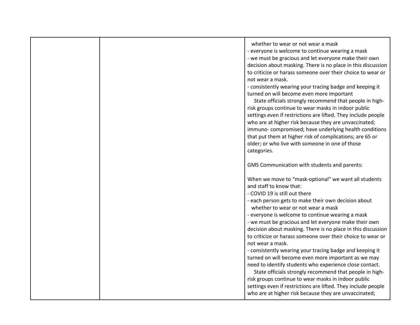| whether to wear or not wear a mask                            |
|---------------------------------------------------------------|
| - everyone is welcome to continue wearing a mask              |
| - we must be gracious and let everyone make their own         |
| decision about masking. There is no place in this discussion  |
| to criticize or harass someone over their choice to wear or   |
| not wear a mask.                                              |
| - consistently wearing your tracing badge and keeping it      |
| turned on will become even more important                     |
| State officials strongly recommend that people in high-       |
| risk groups continue to wear masks in indoor public           |
| settings even if restrictions are lifted. They include people |
| who are at higher risk because they are unvaccinated;         |
| immuno-compromised; have underlying health conditions         |
| that put them at higher risk of complications; are 65 or      |
| older; or who live with someone in one of those               |
| categories.                                                   |
|                                                               |
| GMS Communication with students and parents:                  |
|                                                               |
| When we move to "mask-optional" we want all students          |
| and staff to know that:                                       |
| - COVID 19 is still out there                                 |
| - each person gets to make their own decision about           |
| whether to wear or not wear a mask                            |
| - everyone is welcome to continue wearing a mask              |
| - we must be gracious and let everyone make their own         |
| decision about masking. There is no place in this discussion  |
| to criticize or harass someone over their choice to wear or   |
| not wear a mask.                                              |
| - consistently wearing your tracing badge and keeping it      |
| turned on will become even more important as we may           |
| need to identify students who experience close contact.       |
| State officials strongly recommend that people in high-       |
| risk groups continue to wear masks in indoor public           |
| settings even if restrictions are lifted. They include people |
| who are at higher risk because they are unvaccinated;         |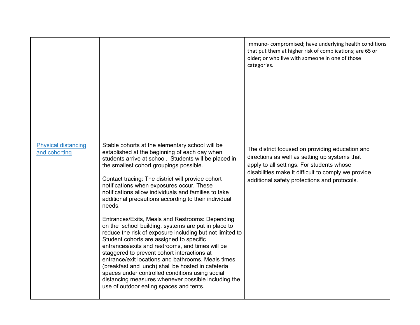|                                             |                                                                                                                                                                                                                                                                                                                                                                                                                                                                                                                                                                                                                                                                                                                                                                                                                                                                                                                                                                                                                        | immuno-compromised; have underlying health conditions<br>that put them at higher risk of complications; are 65 or<br>older; or who live with someone in one of those<br>categories.                                                                  |
|---------------------------------------------|------------------------------------------------------------------------------------------------------------------------------------------------------------------------------------------------------------------------------------------------------------------------------------------------------------------------------------------------------------------------------------------------------------------------------------------------------------------------------------------------------------------------------------------------------------------------------------------------------------------------------------------------------------------------------------------------------------------------------------------------------------------------------------------------------------------------------------------------------------------------------------------------------------------------------------------------------------------------------------------------------------------------|------------------------------------------------------------------------------------------------------------------------------------------------------------------------------------------------------------------------------------------------------|
| <b>Physical distancing</b><br>and cohorting | Stable cohorts at the elementary school will be<br>established at the beginning of each day when<br>students arrive at school. Students will be placed in<br>the smallest cohort groupings possible.<br>Contact tracing: The district will provide cohort<br>notifications when exposures occur. These<br>notifications allow individuals and families to take<br>additional precautions according to their individual<br>needs.<br>Entrances/Exits, Meals and Restrooms: Depending<br>on the school building, systems are put in place to<br>reduce the risk of exposure including but not limited to<br>Student cohorts are assigned to specific<br>entrances/exits and restrooms, and times will be<br>staggered to prevent cohort interactions at<br>entrance/exit locations and bathrooms. Meals times<br>(breakfast and lunch) shall be hosted in cafeteria<br>spaces under controlled conditions using social<br>distancing measures whenever possible including the<br>use of outdoor eating spaces and tents. | The district focused on providing education and<br>directions as well as setting up systems that<br>apply to all settings. For students whose<br>disabilities make it difficult to comply we provide<br>additional safety protections and protocols. |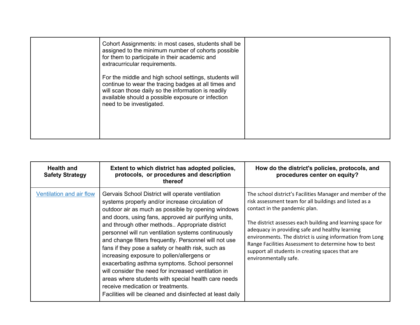| Cohort Assignments: in most cases, students shall be<br>assigned to the minimum number of cohorts possible<br>for them to participate in their academic and<br>extracurricular requirements.                                                           |  |
|--------------------------------------------------------------------------------------------------------------------------------------------------------------------------------------------------------------------------------------------------------|--|
| For the middle and high school settings, students will<br>continue to wear the tracing badges at all times and<br>will scan those daily so the information is readily<br>available should a possible exposure or infection<br>need to be investigated. |  |

| <b>Health and</b><br><b>Safety Strategy</b> | Extent to which district has adopted policies,<br>protocols, or procedures and description<br>thereof                                                                                                                                                                                                                                                                                                                                                                                                                                                                                                                                                                                                                                                     | How do the district's policies, protocols, and<br>procedures center on equity?                                                                                                                                                                                                                                                                                                                                                                                           |
|---------------------------------------------|-----------------------------------------------------------------------------------------------------------------------------------------------------------------------------------------------------------------------------------------------------------------------------------------------------------------------------------------------------------------------------------------------------------------------------------------------------------------------------------------------------------------------------------------------------------------------------------------------------------------------------------------------------------------------------------------------------------------------------------------------------------|--------------------------------------------------------------------------------------------------------------------------------------------------------------------------------------------------------------------------------------------------------------------------------------------------------------------------------------------------------------------------------------------------------------------------------------------------------------------------|
| Ventilation and air flow                    | Gervais School District will operate ventilation<br>systems properly and/or increase circulation of<br>outdoor air as much as possible by opening windows<br>and doors, using fans, approved air purifying units,<br>and through other methods Appropriate district<br>personnel will run ventilation systems continuously<br>and change filters frequently. Personnel will not use<br>fans if they pose a safety or health risk, such as<br>increasing exposure to pollen/allergens or<br>exacerbating asthma symptoms. School personnel<br>will consider the need for increased ventilation in<br>areas where students with special health care needs<br>receive medication or treatments.<br>Facilities will be cleaned and disinfected at least daily | The school district's Facilities Manager and member of the<br>risk assessment team for all buildings and listed as a<br>contact in the pandemic plan.<br>The district assesses each building and learning space for<br>adequacy in providing safe and healthy learning<br>environments. The district is using information from Long<br>Range Facilities Assessment to determine how to best<br>support all students in creating spaces that are<br>environmentally safe. |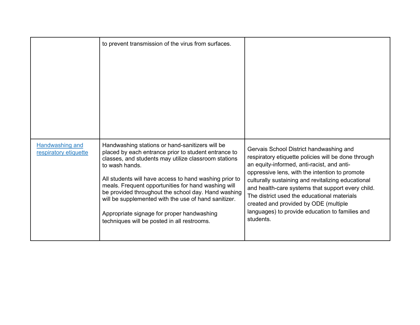|                                                 | to prevent transmission of the virus from surfaces.                                                                                                                                                                                                                                                                                                                                                                                                                                                            |                                                                                                                                                                                                                                                                                                                                                                                                                                                                   |
|-------------------------------------------------|----------------------------------------------------------------------------------------------------------------------------------------------------------------------------------------------------------------------------------------------------------------------------------------------------------------------------------------------------------------------------------------------------------------------------------------------------------------------------------------------------------------|-------------------------------------------------------------------------------------------------------------------------------------------------------------------------------------------------------------------------------------------------------------------------------------------------------------------------------------------------------------------------------------------------------------------------------------------------------------------|
| <b>Handwashing and</b><br>respiratory etiquette | Handwashing stations or hand-sanitizers will be<br>placed by each entrance prior to student entrance to<br>classes, and students may utilize classroom stations<br>to wash hands.<br>All students will have access to hand washing prior to<br>meals. Frequent opportunities for hand washing will<br>be provided throughout the school day. Hand washing<br>will be supplemented with the use of hand sanitizer.<br>Appropriate signage for proper handwashing<br>techniques will be posted in all restrooms. | Gervais School District handwashing and<br>respiratory etiquette policies will be done through<br>an equity-informed, anti-racist, and anti-<br>oppressive lens, with the intention to promote<br>culturally sustaining and revitalizing educational<br>and health-care systems that support every child.<br>The district used the educational materials<br>created and provided by ODE (multiple<br>languages) to provide education to families and<br>students. |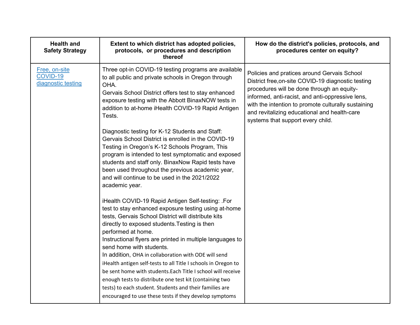| <b>Health and</b><br><b>Safety Strategy</b>     | Extent to which district has adopted policies,<br>protocols, or procedures and description<br>thereof                                                                                                                                                                                                                                                                                                                                                                                                                                                                                                                                                                                                      | How do the district's policies, protocols, and<br>procedures center on equity?                                                                                                                                                                                                                                                                  |
|-------------------------------------------------|------------------------------------------------------------------------------------------------------------------------------------------------------------------------------------------------------------------------------------------------------------------------------------------------------------------------------------------------------------------------------------------------------------------------------------------------------------------------------------------------------------------------------------------------------------------------------------------------------------------------------------------------------------------------------------------------------------|-------------------------------------------------------------------------------------------------------------------------------------------------------------------------------------------------------------------------------------------------------------------------------------------------------------------------------------------------|
| Free, on-site<br>COVID-19<br>diagnostic testing | Three opt-in COVID-19 testing programs are available<br>to all public and private schools in Oregon through<br>OHA.<br>Gervais School District offers test to stay enhanced<br>exposure testing with the Abbott BinaxNOW tests in<br>addition to at-home iHealth COVID-19 Rapid Antigen<br>Tests.                                                                                                                                                                                                                                                                                                                                                                                                          | Policies and pratices around Gervais School<br>District free, on-site COVID-19 diagnostic testing<br>procedures will be done through an equity-<br>informed, anti-racist, and anti-oppressive lens,<br>with the intention to promote culturally sustaining<br>and revitalizing educational and health-care<br>systems that support every child. |
|                                                 | Diagnostic testing for K-12 Students and Staff:<br>Gervais School District is enrolled in the COVID-19<br>Testing in Oregon's K-12 Schools Program, This<br>program is intended to test symptomatic and exposed<br>students and staff only. BinaxNow Rapid tests have<br>been used throughout the previous academic year,<br>and will continue to be used in the 2021/2022<br>academic year.                                                                                                                                                                                                                                                                                                               |                                                                                                                                                                                                                                                                                                                                                 |
|                                                 | iHealth COVID-19 Rapid Antigen Self-testing: .For<br>test to stay enhanced exposure testing using at-home<br>tests, Gervais School District will distribute kits<br>directly to exposed students. Testing is then<br>performed at home.<br>Instructional flyers are printed in multiple languages to<br>send home with students.<br>In addition, OHA in collaboration with ODE will send<br>iHealth antigen self-tests to all Title I schools in Oregon to<br>be sent home with students. Each Title I school will receive<br>enough tests to distribute one test kit (containing two<br>tests) to each student. Students and their families are<br>encouraged to use these tests if they develop symptoms |                                                                                                                                                                                                                                                                                                                                                 |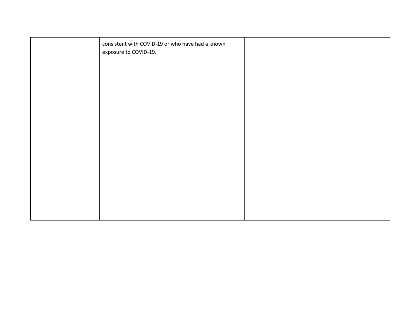| consistent with COVID-19 or who have had a known<br>exposure to COVID-19. |  |
|---------------------------------------------------------------------------|--|
|                                                                           |  |
|                                                                           |  |
|                                                                           |  |
|                                                                           |  |
|                                                                           |  |
|                                                                           |  |
|                                                                           |  |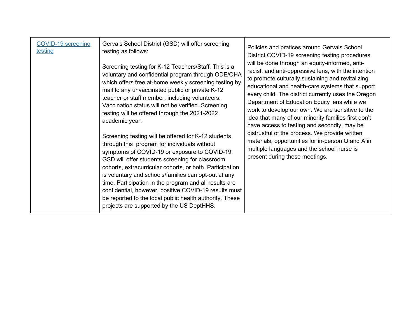| <b>COVID-19 screening</b><br>testing | Gervais School District (GSD) will offer screening<br>testing as follows:<br>Screening testing for K-12 Teachers/Staff. This is a<br>voluntary and confidential program through ODE/OHA<br>which offers free at-home weekly screening testing by<br>mail to any unvaccinated public or private K-12<br>teacher or staff member, including volunteers.<br>Vaccination status will not be verified. Screening<br>testing will be offered through the 2021-2022<br>academic year.<br>Screening testing will be offered for K-12 students<br>through this program for individuals without<br>symptoms of COVID-19 or exposure to COVID-19.<br>GSD will offer students screening for classroom<br>cohorts, extracurricular cohorts, or both. Participation<br>is voluntary and schools/families can opt-out at any<br>time. Participation in the program and all results are<br>confidential, however, positive COVID-19 results must<br>be reported to the local public health authority. These<br>projects are supported by the US DeptHHS. | Policies and pratices around Gervais School<br>District COVID-19 screening testing procedures<br>will be done through an equity-informed, anti-<br>racist, and anti-oppressive lens, with the intention<br>to promote culturally sustaining and revitalizing<br>educational and health-care systems that support<br>every child. The district currently uses the Oregon<br>Department of Education Equity lens while we<br>work to develop our own. We are sensitive to the<br>idea that many of our minority families first don't<br>have access to testing and secondly, may be<br>distrustful of the process. We provide written<br>materials, opportunities for in-person Q and A in<br>multiple languages and the school nurse is<br>present during these meetings. |
|--------------------------------------|------------------------------------------------------------------------------------------------------------------------------------------------------------------------------------------------------------------------------------------------------------------------------------------------------------------------------------------------------------------------------------------------------------------------------------------------------------------------------------------------------------------------------------------------------------------------------------------------------------------------------------------------------------------------------------------------------------------------------------------------------------------------------------------------------------------------------------------------------------------------------------------------------------------------------------------------------------------------------------------------------------------------------------------|--------------------------------------------------------------------------------------------------------------------------------------------------------------------------------------------------------------------------------------------------------------------------------------------------------------------------------------------------------------------------------------------------------------------------------------------------------------------------------------------------------------------------------------------------------------------------------------------------------------------------------------------------------------------------------------------------------------------------------------------------------------------------|
|--------------------------------------|------------------------------------------------------------------------------------------------------------------------------------------------------------------------------------------------------------------------------------------------------------------------------------------------------------------------------------------------------------------------------------------------------------------------------------------------------------------------------------------------------------------------------------------------------------------------------------------------------------------------------------------------------------------------------------------------------------------------------------------------------------------------------------------------------------------------------------------------------------------------------------------------------------------------------------------------------------------------------------------------------------------------------------------|--------------------------------------------------------------------------------------------------------------------------------------------------------------------------------------------------------------------------------------------------------------------------------------------------------------------------------------------------------------------------------------------------------------------------------------------------------------------------------------------------------------------------------------------------------------------------------------------------------------------------------------------------------------------------------------------------------------------------------------------------------------------------|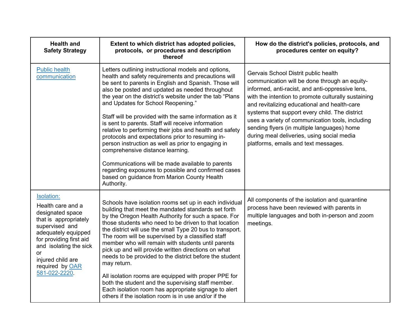| <b>Health and</b><br><b>Safety Strategy</b>                                                                                                                                                                                                      | Extent to which district has adopted policies,<br>protocols, or procedures and description<br>thereof                                                                                                                                                                                                                                                                                                                                                                                                                                                                                                                                                                                                                                                                                                                    | How do the district's policies, protocols, and<br>procedures center on equity?                                                                                                                                                                                                                                                                                                                                                                                                              |
|--------------------------------------------------------------------------------------------------------------------------------------------------------------------------------------------------------------------------------------------------|--------------------------------------------------------------------------------------------------------------------------------------------------------------------------------------------------------------------------------------------------------------------------------------------------------------------------------------------------------------------------------------------------------------------------------------------------------------------------------------------------------------------------------------------------------------------------------------------------------------------------------------------------------------------------------------------------------------------------------------------------------------------------------------------------------------------------|---------------------------------------------------------------------------------------------------------------------------------------------------------------------------------------------------------------------------------------------------------------------------------------------------------------------------------------------------------------------------------------------------------------------------------------------------------------------------------------------|
| <b>Public health</b><br>communication                                                                                                                                                                                                            | Letters outlining instructional models and options,<br>health and safety requirements and precautions will<br>be sent to parents in English and Spanish. Those will<br>also be posted and updated as needed throughout<br>the year on the district's website under the tab "Plans<br>and Updates for School Reopening."<br>Staff will be provided with the same information as it<br>is sent to parents. Staff will receive information<br>relative to performing their jobs and health and safety<br>protocols and expectations prior to resuming in-<br>person instruction as well as prior to engaging in<br>comprehensive distance learning.<br>Communications will be made available to parents<br>regarding exposures to possible and confirmed cases<br>based on guidance from Marion County Health<br>Authority. | Gervais School Distrit public health<br>communication will be done through an equity-<br>informed, anti-racist, and anti-oppressive lens,<br>with the intention to promote culturally sustaining<br>and revitalizing educational and health-care<br>systems that support every child. The district<br>uses a variety of communication tools, including<br>sending flyers (in multiple languages) home<br>during meal deliveries, using social media<br>platforms, emails and text messages. |
| Isolation:<br>Health care and a<br>designated space<br>that is appropriately<br>supervised and<br>adequately equipped<br>for providing first aid<br>and isolating the sick<br><b>or</b><br>injured child are<br>required by OAR<br>581-022-2220. | Schools have isolation rooms set up in each individual<br>building that meet the mandated standards set forth<br>by the Oregon Health Authority for such a space. For<br>those students who need to be driven to that location<br>the district will use the small Type 20 bus to transport.<br>The room will be supervised by a classified staff<br>member who will remain with students until parents<br>pick up and will provide written directions on what<br>needs to be provided to the district before the student<br>may return.<br>All isolation rooms are equipped with proper PPE for<br>both the student and the supervising staff member.<br>Each isolation room has appropriate signage to alert<br>others if the isolation room is in use and/or if the                                                    | All components of the isolation and quarantine<br>process have been reviewed with parents in<br>multiple languages and both in-person and zoom<br>meetings.                                                                                                                                                                                                                                                                                                                                 |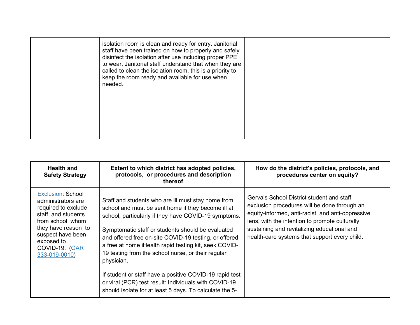| isolation room is clean and ready for entry. Janitorial<br>staff have been trained on how to properly and safely<br>disinfect the isolation after use including proper PPE<br>to wear. Janitorial staff understand that when they are<br>called to clean the isolation room, this is a priority to<br>keep the room ready and available for use when<br>needed. |  |
|-----------------------------------------------------------------------------------------------------------------------------------------------------------------------------------------------------------------------------------------------------------------------------------------------------------------------------------------------------------------|--|
|                                                                                                                                                                                                                                                                                                                                                                 |  |

| <b>Health and</b><br><b>Safety Strategy</b>                                                                                                                                                                  | Extent to which district has adopted policies,<br>protocols, or procedures and description<br>thereof                                                                                                                                                                                                                                                                                                                                                                                                                                                                                      | How do the district's policies, protocols, and<br>procedures center on equity?                                                                                                                                                                                                                   |
|--------------------------------------------------------------------------------------------------------------------------------------------------------------------------------------------------------------|--------------------------------------------------------------------------------------------------------------------------------------------------------------------------------------------------------------------------------------------------------------------------------------------------------------------------------------------------------------------------------------------------------------------------------------------------------------------------------------------------------------------------------------------------------------------------------------------|--------------------------------------------------------------------------------------------------------------------------------------------------------------------------------------------------------------------------------------------------------------------------------------------------|
| <b>Exclusion: School</b><br>administrators are<br>required to exclude<br>staff and students<br>from school whom<br>they have reason to<br>suspect have been<br>exposed to<br>COVID-19. (OAR<br>333-019-0010) | Staff and students who are ill must stay home from<br>school and must be sent home if they become ill at<br>school, particularly if they have COVID-19 symptoms.<br>Symptomatic staff or students should be evaluated<br>and offered free on-site COVID-19 testing, or offered<br>a free at home iHealth rapid testing kit, seek COVID-<br>19 testing from the school nurse, or their regular<br>physician.<br>If student or staff have a positive COVID-19 rapid test<br>or viral (PCR) test result: Individuals with COVID-19<br>should isolate for at least 5 days. To calculate the 5- | Gervais School District student and staff<br>exclusion procedures will be done through an<br>equity-informed, anti-racist, and anti-oppressive<br>lens, with the intention to promote culturally<br>sustaining and revitalizing educational and<br>health-care systems that support every child. |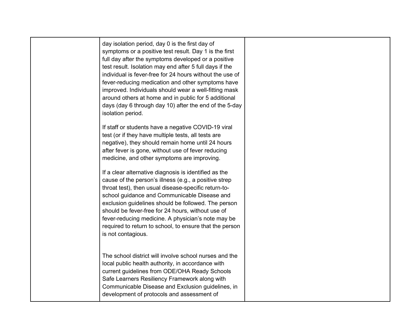| day isolation period, day 0 is the first day of<br>symptoms or a positive test result. Day 1 is the first<br>full day after the symptoms developed or a positive<br>test result. Isolation may end after 5 full days if the<br>individual is fever-free for 24 hours without the use of<br>fever-reducing medication and other symptoms have<br>improved. Individuals should wear a well-fitting mask<br>around others at home and in public for 5 additional<br>days (day 6 through day 10) after the end of the 5-day<br>isolation period. |  |
|----------------------------------------------------------------------------------------------------------------------------------------------------------------------------------------------------------------------------------------------------------------------------------------------------------------------------------------------------------------------------------------------------------------------------------------------------------------------------------------------------------------------------------------------|--|
| If staff or students have a negative COVID-19 viral<br>test (or if they have multiple tests, all tests are<br>negative), they should remain home until 24 hours<br>after fever is gone, without use of fever reducing<br>medicine, and other symptoms are improving.                                                                                                                                                                                                                                                                         |  |
| If a clear alternative diagnosis is identified as the<br>cause of the person's illness (e.g., a positive strep<br>throat test), then usual disease-specific return-to-<br>school guidance and Communicable Disease and<br>exclusion guidelines should be followed. The person<br>should be fever-free for 24 hours, without use of<br>fever-reducing medicine. A physician's note may be<br>required to return to school, to ensure that the person<br>is not contagious.                                                                    |  |
| The school district will involve school nurses and the<br>local public health authority, in accordance with<br>current guidelines from ODE/OHA Ready Schools<br>Safe Learners Resiliency Framework along with<br>Communicable Disease and Exclusion guidelines, in<br>development of protocols and assessment of                                                                                                                                                                                                                             |  |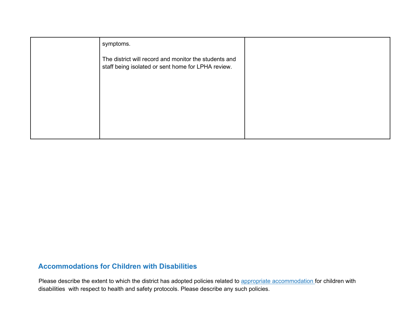| symptoms.                                                                                                   |  |
|-------------------------------------------------------------------------------------------------------------|--|
| The district will record and monitor the students and<br>staff being isolated or sent home for LPHA review. |  |
|                                                                                                             |  |
|                                                                                                             |  |
|                                                                                                             |  |
|                                                                                                             |  |

#### **Accommodations for Children with Disabilities**

Please describe the extent to which the district has adopted policies related to appropriate accommodation for children with disabilities with respect to health and safety protocols. Please describe any such policies.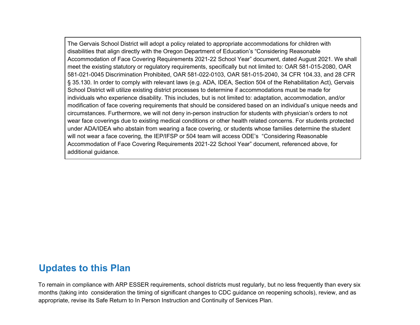The Gervais School District will adopt a policy related to appropriate accommodations for children with disabilities that align directly with the Oregon Department of Education's "Considering Reasonable Accommodation of Face Covering Requirements 2021-22 School Year" document, dated August 2021. We shall meet the existing statutory or regulatory requirements, specifically but not limited to: OAR 581-015-2080, OAR 581-021-0045 Discrimination Prohibited, OAR 581-022-0103, OAR 581-015-2040, 34 CFR 104.33, and 28 CFR § 35.130. In order to comply with relevant laws (e.g. ADA, IDEA, Section 504 of the Rehabilitation Act), Gervais School District will utilize existing district processes to determine if accommodations must be made for individuals who experience disability. This includes, but is not limited to: adaptation, accommodation, and/or modification of face covering requirements that should be considered based on an individual's unique needs and circumstances. Furthermore, we will not deny in-person instruction for students with physician's orders to not wear face coverings due to existing medical conditions or other health related concerns. For students protected under ADA/IDEA who abstain from wearing a face covering, or students whose families determine the student will not wear a face covering, the IEP/IFSP or 504 team will access ODE's "Considering Reasonable Accommodation of Face Covering Requirements 2021-22 School Year" document, referenced above, for additional guidance.

## **Updates to this Plan**

To remain in compliance with ARP ESSER requirements, school districts must regularly, but no less frequently than every six months (taking into consideration the timing of significant changes to CDC guidance on reopening schools), review, and as appropriate, revise its Safe Return to In Person Instruction and Continuity of Services Plan.